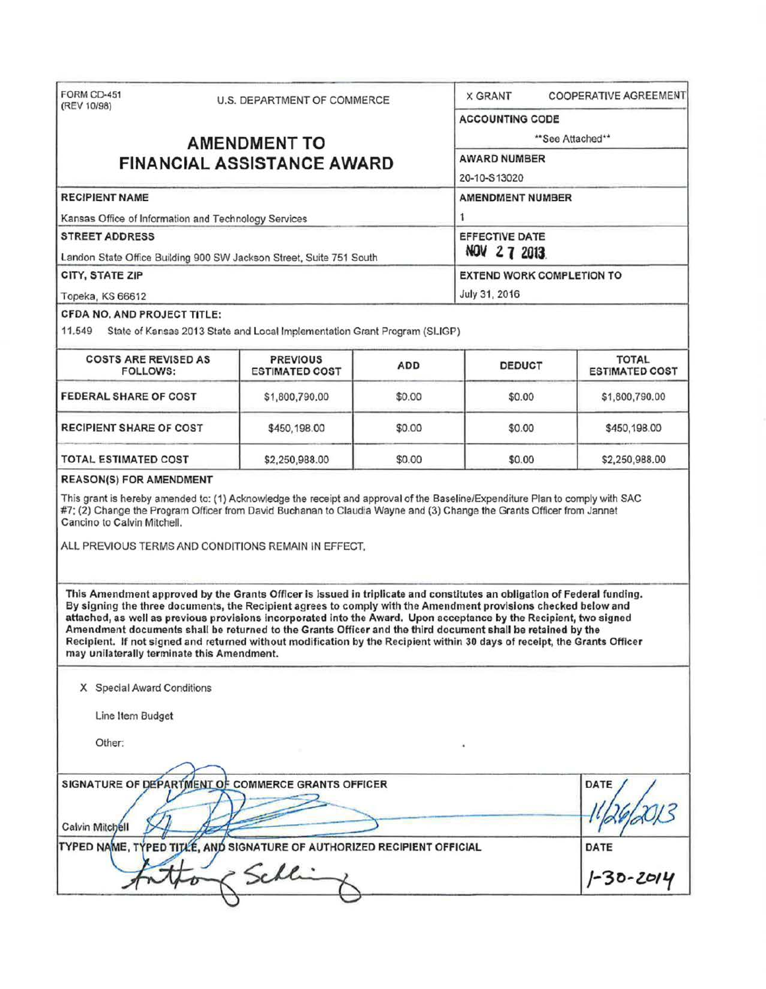| FORM CD-451<br>(REV 10/98)                                                                                                                                                                                                                                                                                                                                                                                                                                                                                                                                                                                                                                | U.S. DEPARTMENT OF COMMERCE                                               |                              | <b>COOPERATIVE AGREEMENT</b><br><b>X GRANT</b> |                                       |  |  |
|-----------------------------------------------------------------------------------------------------------------------------------------------------------------------------------------------------------------------------------------------------------------------------------------------------------------------------------------------------------------------------------------------------------------------------------------------------------------------------------------------------------------------------------------------------------------------------------------------------------------------------------------------------------|---------------------------------------------------------------------------|------------------------------|------------------------------------------------|---------------------------------------|--|--|
|                                                                                                                                                                                                                                                                                                                                                                                                                                                                                                                                                                                                                                                           |                                                                           |                              |                                                | <b>ACCOUNTING CODE</b>                |  |  |
| <b>AMENDMENT TO</b><br><b>FINANCIAL ASSISTANCE AWARD</b>                                                                                                                                                                                                                                                                                                                                                                                                                                                                                                                                                                                                  |                                                                           |                              | ** See Attached**<br><b>AWARD NUMBER</b>       |                                       |  |  |
|                                                                                                                                                                                                                                                                                                                                                                                                                                                                                                                                                                                                                                                           |                                                                           |                              |                                                |                                       |  |  |
| <b>RECIPIENT NAME</b>                                                                                                                                                                                                                                                                                                                                                                                                                                                                                                                                                                                                                                     |                                                                           | <b>AMENDMENT NUMBER</b><br>1 |                                                |                                       |  |  |
| Kansas Office of Information and Technology Services                                                                                                                                                                                                                                                                                                                                                                                                                                                                                                                                                                                                      |                                                                           |                              |                                                |                                       |  |  |
| <b>STREET ADDRESS</b><br>Landon State Office Building 900 SW Jackson Street, Suite 751 South                                                                                                                                                                                                                                                                                                                                                                                                                                                                                                                                                              |                                                                           |                              | <b>EFFECTIVE DATE</b><br>NOV 27 2013.          |                                       |  |  |
| CITY, STATE ZIP                                                                                                                                                                                                                                                                                                                                                                                                                                                                                                                                                                                                                                           |                                                                           |                              | <b>EXTEND WORK COMPLETION TO</b>               |                                       |  |  |
| Topeka, KS 66612                                                                                                                                                                                                                                                                                                                                                                                                                                                                                                                                                                                                                                          |                                                                           |                              | July 31, 2016                                  |                                       |  |  |
| CFDA NO. AND PROJECT TITLE:                                                                                                                                                                                                                                                                                                                                                                                                                                                                                                                                                                                                                               |                                                                           |                              |                                                |                                       |  |  |
| 11.549                                                                                                                                                                                                                                                                                                                                                                                                                                                                                                                                                                                                                                                    | State of Kansas 2013 State and Local Implementation Grant Program (SLIGP) |                              |                                                |                                       |  |  |
| <b>COSTS ARE REVISED AS</b><br><b>FOLLOWS:</b>                                                                                                                                                                                                                                                                                                                                                                                                                                                                                                                                                                                                            | <b>PREVIOUS</b><br><b>ESTIMATED COST</b>                                  | <b>ADD</b>                   | <b>DEDUCT</b>                                  | <b>TOTAL</b><br><b>ESTIMATED COST</b> |  |  |
| <b>FEDERAL SHARE OF COST</b>                                                                                                                                                                                                                                                                                                                                                                                                                                                                                                                                                                                                                              | \$1,800,790.00                                                            | \$0.00                       | \$0.00                                         | \$1,800,790.00                        |  |  |
| <b>RECIPIENT SHARE OF COST</b>                                                                                                                                                                                                                                                                                                                                                                                                                                                                                                                                                                                                                            | \$450,198.00                                                              | \$0.00                       | \$0.00                                         | \$450,198.00                          |  |  |
| <b>TOTAL ESTIMATED COST</b>                                                                                                                                                                                                                                                                                                                                                                                                                                                                                                                                                                                                                               | \$2,250,988.00                                                            | \$0.00                       | \$0.00                                         | \$2,250,988.00                        |  |  |
| <b>REASON(S) FOR AMENDMENT</b>                                                                                                                                                                                                                                                                                                                                                                                                                                                                                                                                                                                                                            |                                                                           |                              |                                                |                                       |  |  |
| This grant is hereby amended to: (1) Acknowledge the receipt and approval of the Baseline/Expenditure Plan to comply with SAC<br>#7; (2) Change the Program Officer from David Buchanan to Claudia Wayne and (3) Change the Grants Officer from Jannet<br>Cancino to Calvin Mitchell.<br>ALL PREVIOUS TERMS AND CONDITIONS REMAIN IN EFFECT.                                                                                                                                                                                                                                                                                                              |                                                                           |                              |                                                |                                       |  |  |
| This Amendment approved by the Grants Officer is issued in triplicate and constitutes an obligation of Federal funding.<br>By signing the three documents, the Recipient agrees to comply with the Amendment provisions checked below and<br>attached, as well as previous provisions incorporated into the Award. Upon acceptance by the Recipient, two signed<br>Amendment documents shall be returned to the Grants Officer and the third document shall be retained by the<br>Recipient. If not signed and returned without modification by the Recipient within 30 days of receipt, the Grants Officer<br>may unilaterally terminate this Amendment. |                                                                           |                              |                                                |                                       |  |  |
| X Special Award Conditions                                                                                                                                                                                                                                                                                                                                                                                                                                                                                                                                                                                                                                |                                                                           |                              |                                                |                                       |  |  |
| Line Item Budget                                                                                                                                                                                                                                                                                                                                                                                                                                                                                                                                                                                                                                          |                                                                           |                              |                                                |                                       |  |  |
| Other:                                                                                                                                                                                                                                                                                                                                                                                                                                                                                                                                                                                                                                                    |                                                                           |                              |                                                |                                       |  |  |
|                                                                                                                                                                                                                                                                                                                                                                                                                                                                                                                                                                                                                                                           |                                                                           |                              |                                                |                                       |  |  |
| SIGNATURE OF DEPARTMENT OF COMMERCE GRANTS OFFICER                                                                                                                                                                                                                                                                                                                                                                                                                                                                                                                                                                                                        |                                                                           |                              |                                                | <b>DATE</b>                           |  |  |
| Calvin Mitchell<br>TYPED NAME, TYPED TITLE, AND SIGNATURE OF AUTHORIZED RECIPIENT OFFICIAL                                                                                                                                                                                                                                                                                                                                                                                                                                                                                                                                                                |                                                                           |                              |                                                | DATE                                  |  |  |
|                                                                                                                                                                                                                                                                                                                                                                                                                                                                                                                                                                                                                                                           |                                                                           |                              |                                                |                                       |  |  |
|                                                                                                                                                                                                                                                                                                                                                                                                                                                                                                                                                                                                                                                           | Schli                                                                     |                              |                                                | 1-30-2014                             |  |  |
|                                                                                                                                                                                                                                                                                                                                                                                                                                                                                                                                                                                                                                                           |                                                                           |                              |                                                |                                       |  |  |